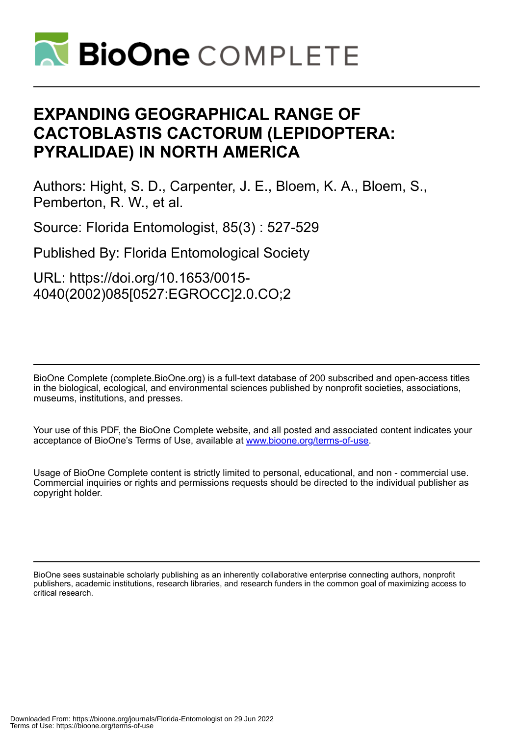

# **EXPANDING GEOGRAPHICAL RANGE OF CACTOBLASTIS CACTORUM (LEPIDOPTERA: PYRALIDAE) IN NORTH AMERICA**

Authors: Hight, S. D., Carpenter, J. E., Bloem, K. A., Bloem, S., Pemberton, R. W., et al.

Source: Florida Entomologist, 85(3) : 527-529

Published By: Florida Entomological Society

URL: https://doi.org/10.1653/0015- 4040(2002)085[0527:EGROCC]2.0.CO;2

BioOne Complete (complete.BioOne.org) is a full-text database of 200 subscribed and open-access titles in the biological, ecological, and environmental sciences published by nonprofit societies, associations, museums, institutions, and presses.

Your use of this PDF, the BioOne Complete website, and all posted and associated content indicates your acceptance of BioOne's Terms of Use, available at www.bioone.org/terms-of-use.

Usage of BioOne Complete content is strictly limited to personal, educational, and non - commercial use. Commercial inquiries or rights and permissions requests should be directed to the individual publisher as copyright holder.

BioOne sees sustainable scholarly publishing as an inherently collaborative enterprise connecting authors, nonprofit publishers, academic institutions, research libraries, and research funders in the common goal of maximizing access to critical research.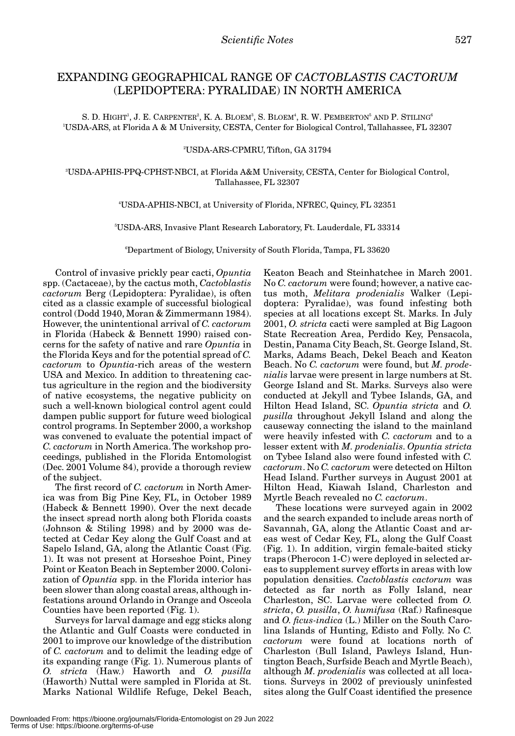# EXPANDING GEOGRAPHICAL RANGE OF *CACTOBLASTIS CACTORUM* (LEPIDOPTERA: PYRALIDAE) IN NORTH AMERICA

S. D. HIGHT<sup>1</sup>, J. E. CARPENTER<sup>2</sup>, K. A. BLOEM<sup>3</sup>, S. BLOEM<sup>4</sup>, R. W. PEMBERTON<sup>5</sup> AND P. STILING<sup>6</sup> 1 USDA-ARS, at Florida A & M University, CESTA, Center for Biological Control, Tallahassee, FL 32307

## 2 USDA-ARS-CPMRU, Tifton, GA 31794

3 USDA-APHIS-PPQ-CPHST-NBCI, at Florida A&M University, CESTA, Center for Biological Control, Tallahassee, FL 32307

# 4 USDA-APHIS-NBCI, at University of Florida, NFREC, Quincy, FL 32351

5 USDA-ARS, Invasive Plant Research Laboratory, Ft. Lauderdale, FL 33314

6 Department of Biology, University of South Florida, Tampa, FL 33620

Control of invasive prickly pear cacti, *Opuntia* spp. (Cactaceae), by the cactus moth, *Cactoblastis cactorum* Berg (Lepidoptera: Pyralidae), is often cited as a classic example of successful biological control (Dodd 1940, Moran & Zimmermann 1984). However, the unintentional arrival of *C. cactorum* in Florida (Habeck & Bennett 1990) raised concerns for the safety of native and rare *Opuntia* in the Florida Keys and for the potential spread of *C. cactorum* to *Opuntia*-rich areas of the western USA and Mexico. In addition to threatening cactus agriculture in the region and the biodiversity of native ecosystems, the negative publicity on such a well-known biological control agent could dampen public support for future weed biological control programs. In September 2000, a workshop was convened to evaluate the potential impact of *C. cactorum* in North America. The workshop proceedings, published in the Florida Entomologist (Dec. 2001 Volume 84), provide a thorough review of the subject.

The first record of *C. cactorum* in North America was from Big Pine Key, FL, in October 1989 (Habeck & Bennett 1990). Over the next decade the insect spread north along both Florida coasts (Johnson & Stiling 1998) and by 2000 was detected at Cedar Key along the Gulf Coast and at Sapelo Island, GA, along the Atlantic Coast (Fig. 1). It was not present at Horseshoe Point, Piney Point or Keaton Beach in September 2000. Colonization of *Opuntia* spp. in the Florida interior has been slower than along coastal areas, although infestations around Orlando in Orange and Osceola Counties have been reported (Fig. 1).

Surveys for larval damage and egg sticks along the Atlantic and Gulf Coasts were conducted in 2001 to improve our knowledge of the distribution of *C. cactorum* and to delimit the leading edge of its expanding range (Fig. 1). Numerous plants of *O. stricta* (Haw.) Haworth and *O. pusilla* (Haworth) Nuttal were sampled in Florida at St. Marks National Wildlife Refuge, Dekel Beach,

Keaton Beach and Steinhatchee in March 2001. No *C. cactorum* were found; however, a native cactus moth, *Melitara prodenialis* Walker (Lepidoptera: Pyralidae), was found infesting both species at all locations except St. Marks. In July 2001, *O. stricta* cacti were sampled at Big Lagoon State Recreation Area, Perdido Key, Pensacola, Destin, Panama City Beach, St. George Island, St. Marks, Adams Beach, Dekel Beach and Keaton Beach. No *C. cactorum* were found, but *M. prodenialis* larvae were present in large numbers at St. George Island and St. Marks. Surveys also were conducted at Jekyll and Tybee Islands, GA, and Hilton Head Island, SC. *Opuntia stricta* and *O. pusilla* throughout Jekyll Island and along the causeway connecting the island to the mainland were heavily infested with *C. cactorum* and to a lesser extent with *M. prodenialis*. *Opuntia stricta* on Tybee Island also were found infested with *C. cactorum*. No *C. cactorum* were detected on Hilton Head Island. Further surveys in August 2001 at Hilton Head, Kiawah Island, Charleston and Myrtle Beach revealed no *C. cactorum*.

These locations were surveyed again in 2002 and the search expanded to include areas north of Savannah, GA, along the Atlantic Coast and areas west of Cedar Key, FL, along the Gulf Coast (Fig. 1). In addition, virgin female-baited sticky traps (Pherocon 1-C) were deployed in selected areas to supplement survey efforts in areas with low population densities. *Cactoblastis cactorum* was detected as far north as Folly Island, near Charleston, SC. Larvae were collected from *O. stricta*, *O. pusilla*, *O. humifusa* (Raf.) Rafinesque and *O. ficus-indica* (L.) Miller on the South Carolina Islands of Hunting, Edisto and Folly. No *C. cactorum* were found at locations north of Charleston (Bull Island, Pawleys Island, Huntington Beach, Surfside Beach and Myrtle Beach), although *M. prodenialis* was collected at all locations. Surveys in 2002 of previously uninfested sites along the Gulf Coast identified the presence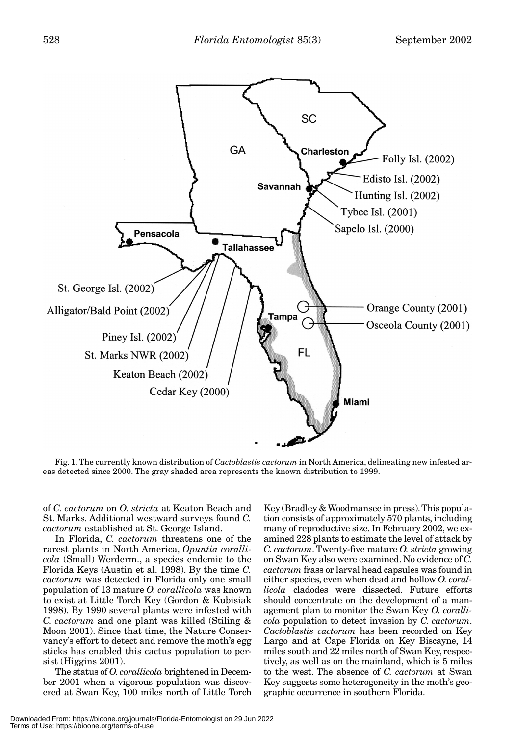

Fig. 1. The currently known distribution of *Cactoblastis cactorum* in North America, delineating new infested areas detected since 2000. The gray shaded area represents the known distribution to 1999.

of *C. cactorum* on *O. stricta* at Keaton Beach and St. Marks. Additional westward surveys found *C. cactorum* established at St. George Island.

In Florida, *C. cactorum* threatens one of the rarest plants in North America, *Opuntia corallicola* (Small) Werderm., a species endemic to the Florida Keys (Austin et al. 1998). By the time *C. cactorum* was detected in Florida only one small population of 13 mature *O. corallicola* was known to exist at Little Torch Key (Gordon & Kubisiak 1998). By 1990 several plants were infested with *C. cactorum* and one plant was killed (Stiling & Moon 2001). Since that time, the Nature Conservancy's effort to detect and remove the moth's egg sticks has enabled this cactus population to persist (Higgins 2001).

The status of *O. corallicola* brightened in December 2001 when a vigorous population was discovered at Swan Key, 100 miles north of Little Torch

Key (Bradley & Woodmansee in press). This population consists of approximately 570 plants, including many of reproductive size. In February 2002, we examined 228 plants to estimate the level of attack by *C. cactorum*. Twenty-five mature *O. stricta* growing on Swan Key also were examined. No evidence of *C. cactorum* frass or larval head capsules was found in either species, even when dead and hollow *O. corallicola* cladodes were dissected. Future efforts should concentrate on the development of a management plan to monitor the Swan Key *O. corallicola* population to detect invasion by *C. cactorum*. *Cactoblastis cactorum* has been recorded on Key Largo and at Cape Florida on Key Biscayne, 14 miles south and 22 miles north of Swan Key, respectively, as well as on the mainland, which is 5 miles to the west. The absence of *C. cactorum* at Swan Key suggests some heterogeneity in the moth's geographic occurrence in southern Florida.